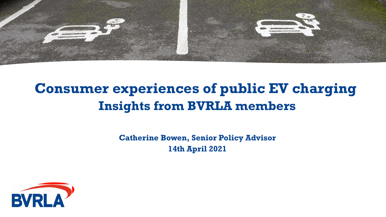

# **Consumer experiences of public EV charging Insights from BVRLA members**

**Catherine Bowen, Senior Policy Advisor 14th April 2021**

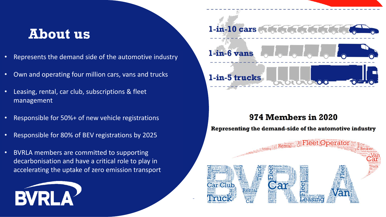## **About us**

- Represents the demand side of the automotive industry
- Own and operating four million cars, vans and trucks
- Leasing, rental, car club, subscriptions & fleet management
- Responsible for 50%+ of new vehicle registrations
- Responsible for 80% of BEV registrations by 2025
- BVRLA members are committed to supporting decarbonisation and have a critical role to play in accelerating the uptake of zero emission transport





#### 974 Members in 2020

Representing the demand-side of the automotive industry

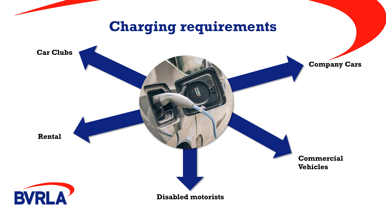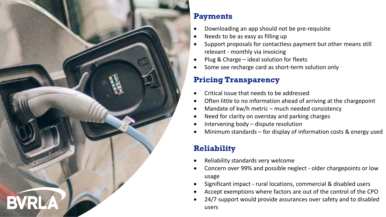

#### **Payments**

- Downloading an app should not be pre-requisite
- Needs to be as easy as filling up
- Support proposals for contactless payment but other means still relevant - monthly via invoicing
- Plug & Charge ideal solution for fleets
- Some see recharge card as short-term solution only

## **Pricing Transparency**

- Critical issue that needs to be addressed
- Often little to no information ahead of arriving at the chargepoint
- Mandate of kw/h metric much needed consistency
- Need for clarity on overstay and parking charges
- Intervening body dispute resolution
- Minimum standards for display of information costs  $\&$  energy used

## **Reliability**

- Reliability standards very welcome
- Concern over 99% and possible neglect older chargepoints or low usage
- Significant impact rural locations, commercial & disabled users
- Accept exemptions where factors are out of the control of the CPO
- 24/7 support would provide assurances over safety and to disabled users